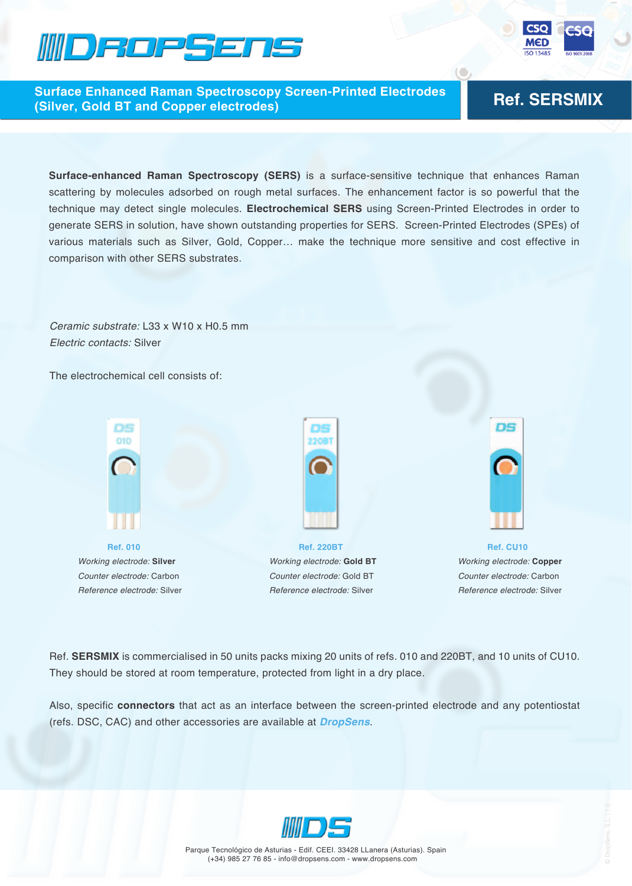



**Ref. SERSMIX Surface Enhanced Raman Spectroscopy Screen-Printed Electrodes (Silver, Gold BT and Copper electrodes)**

**Surface-enhanced Raman Spectroscopy (SERS)** is a surface-sensitive technique that enhances Raman scattering by molecules adsorbed on rough metal surfaces. The enhancement factor is so powerful that the technique may detect single molecules. **Electrochemical SERS** using Screen-Printed Electrodes in order to generate SERS in solution, have shown outstanding properties for SERS. Screen-Printed Electrodes (SPEs) of various materials such as Silver, Gold, Copper… make the technique more sensitive and cost effective in comparison with other SERS substrates.

*Ceramic substrate:* L33 x W10 x H0.5 mm *Electric contacts:* Silver

The electrochemical cell consists of:



*Reference electrode:* Silver



**Ref. 220BT**  *Working electrode:* **Gold BT** *Counter electrode:* Gold BT *Reference electrode:* Silver



**Ref. CU10**  *Working electrode:* **Copper** *Counter electrode:* Carbon *Reference electrode:* Silver

Ref. **SERSMIX** is commercialised in 50 units packs mixing 20 units of refs. 010 and 220BT, and 10 units of CU10. They should be stored at room temperature, protected from light in a dry place.

Also, specific **connectors** that act as an interface between the screen-printed electrode and any potentiostat (refs. DSC, CAC) and other accessories are available at *DropSens*.